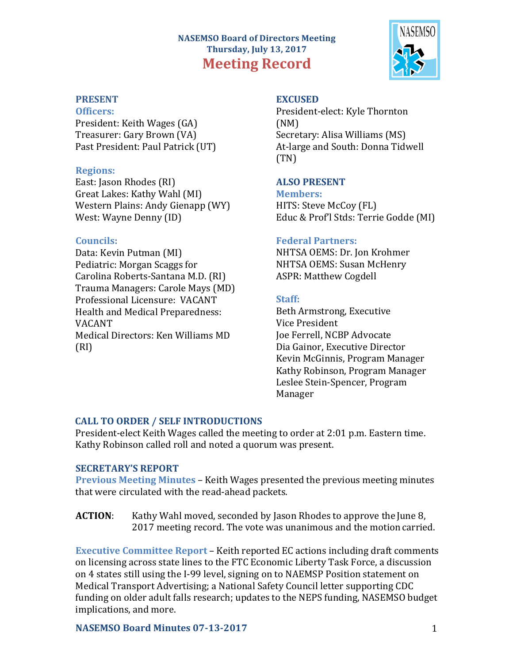# **NASEMSO Board of Directors Meeting Thursday, July 13, 2017 Meeting Record**



# **PRESENT**

### **Officers:**

President: Keith Wages (GA) Treasurer: Gary Brown (VA) Past President: Paul Patrick (UT)

## **Regions:**

East: Jason Rhodes (RI) Great Lakes: Kathy Wahl (MI) Western Plains: Andy Gienapp (WY) West: Wayne Denny (ID)

# **Councils:**

Data: Kevin Putman (MI) Pediatric: Morgan Scaggs for Carolina Roberts-Santana M.D. (RI) Trauma Managers: Carole Mays (MD) Professional Licensure: VACANT Health and Medical Preparedness: VACANT Medical Directors: Ken Williams MD (RI) 

## **EXCUSED**

President-elect: Kyle Thornton (NM) Secretary: Alisa Williams (MS) At-large and South: Donna Tidwell (TN)

# **ALSO PRESENT**

**Members:** HITS: Steve McCoy (FL) Educ & Prof'l Stds: Terrie Godde (MI)

## **Federal Partners:**

NHTSA OEMS: Dr. Jon Krohmer NHTSA OEMS: Susan McHenry ASPR: Matthew Cogdell

# **Staff:**

Beth Armstrong, Executive Vice President Joe Ferrell, NCBP Advocate Dia Gainor, Executive Director Kevin McGinnis, Program Manager Kathy Robinson, Program Manager Leslee Stein-Spencer, Program Manager

# **CALL TO ORDER / SELF INTRODUCTIONS**

President-elect Keith Wages called the meeting to order at 2:01 p.m. Eastern time. Kathy Robinson called roll and noted a quorum was present.

## **SECRETARY'S REPORT**

**Previous Meeting Minutes** – Keith Wages presented the previous meeting minutes that were circulated with the read-ahead packets.

**ACTION:** Kathy Wahl moved, seconded by Jason Rhodes to approve the June 8, 2017 meeting record. The vote was unanimous and the motion carried.

**Executive Committee Report** – Keith reported EC actions including draft comments on licensing across state lines to the FTC Economic Liberty Task Force, a discussion on 4 states still using the I-99 level, signing on to NAEMSP Position statement on Medical Transport Advertising; a National Safety Council letter supporting CDC funding on older adult falls research; updates to the NEPS funding, NASEMSO budget implications, and more.

## **NASEMSO Board Minutes 07-13-2017** 1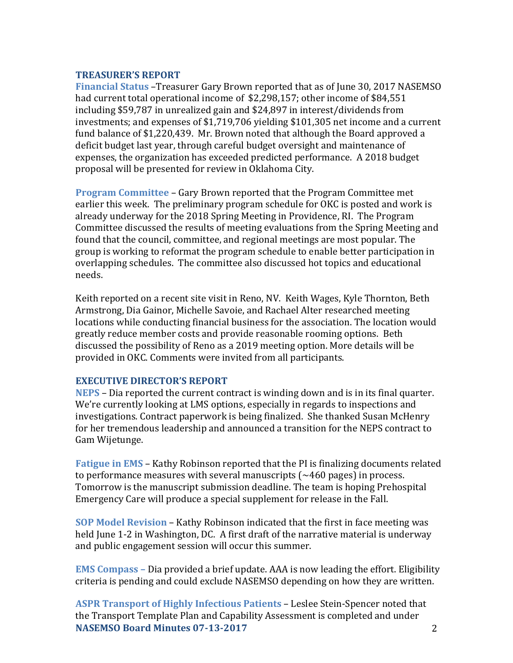### **TREASURER'S REPORT**

**Financial Status** –Treasurer Gary Brown reported that as of June 30, 2017 NASEMSO had current total operational income of \$2,298,157; other income of \$84,551 including \$59,787 in unrealized gain and  $$24,897$  in interest/dividends from investments; and expenses of \$1,719,706 yielding \$101,305 net income and a current fund balance of \$1,220,439. Mr. Brown noted that although the Board approved a deficit budget last year, through careful budget oversight and maintenance of expenses, the organization has exceeded predicted performance. A 2018 budget proposal will be presented for review in Oklahoma City.

**Program Committee – Gary Brown reported that the Program Committee met** earlier this week. The preliminary program schedule for OKC is posted and work is already underway for the 2018 Spring Meeting in Providence, RI. The Program Committee discussed the results of meeting evaluations from the Spring Meeting and found that the council, committee, and regional meetings are most popular. The group is working to reformat the program schedule to enable better participation in overlapping schedules. The committee also discussed hot topics and educational needs. 

Keith reported on a recent site visit in Reno, NV. Keith Wages, Kyle Thornton, Beth Armstrong, Dia Gainor, Michelle Savoie, and Rachael Alter researched meeting locations while conducting financial business for the association. The location would greatly reduce member costs and provide reasonable rooming options. Beth discussed the possibility of Reno as a 2019 meeting option. More details will be provided in OKC. Comments were invited from all participants.

## **EXECUTIVE DIRECTOR'S REPORT**

**NEPS** – Dia reported the current contract is winding down and is in its final quarter. We're currently looking at LMS options, especially in regards to inspections and investigations. Contract paperwork is being finalized. She thanked Susan McHenry for her tremendous leadership and announced a transition for the NEPS contract to Gam Wijetunge.

**Fatigue in EMS** – Kathy Robinson reported that the PI is finalizing documents related to performance measures with several manuscripts  $(\sim 460 \text{ pages})$  in process. Tomorrow is the manuscript submission deadline. The team is hoping Prehospital Emergency Care will produce a special supplement for release in the Fall.

**SOP Model Revision** – Kathy Robinson indicated that the first in face meeting was held June 1-2 in Washington, DC. A first draft of the narrative material is underway and public engagement session will occur this summer.

**EMS Compass** – Dia provided a brief update. AAA is now leading the effort. Eligibility criteria is pending and could exclude NASEMSO depending on how they are written.

**NASEMSO Board Minutes 07-13-2017** 2 **ASPR Transport of Highly Infectious Patients - Leslee Stein-Spencer noted that** the Transport Template Plan and Capability Assessment is completed and under